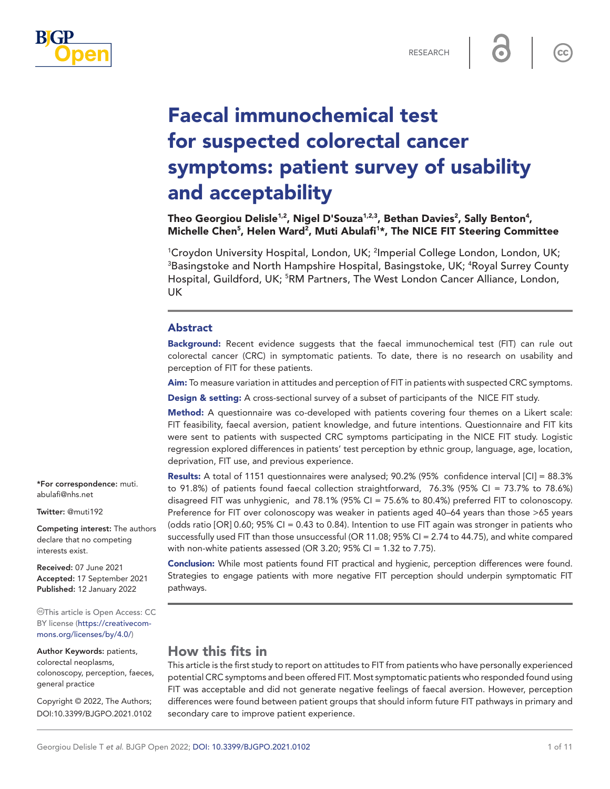

 $cc$ 

# Faecal immunochemical test for suspected colorectal cancer symptoms: patient survey of usability and acceptability

Theo Georgiou Delisle $^{1,2}$ , Nigel D'Souza $^{1,2,3}$ , Bethan Davies $^2$ , Sally Benton $^4$ , Michelle Chen<sup>5</sup>, Helen Ward<sup>2</sup>, Muti Abulafi<sup>1\*</sup>, The NICE FIT Steering Committee

<sup>1</sup>Croydon University Hospital, London, UK; <sup>2</sup>Imperial College London, London, UK;  ${}^{3}$ Basingstoke and North Hampshire Hospital, Basingstoke, UK;  ${}^{4}$ Royal Surrey County Hospital, Guildford, UK; <sup>5</sup>RM Partners, The West London Cancer Alliance, London, UK

#### Abstract

Background: Recent evidence suggests that the faecal immunochemical test (FIT) can rule out colorectal cancer (CRC) in symptomatic patients. To date, there is no research on usability and perception of FIT for these patients.

Aim: To measure variation in attitudes and perception of FIT in patients with suspected CRC symptoms.

**Design & setting:** A cross-sectional survey of a subset of participants of the NICE FIT study.

Method: A questionnaire was co-developed with patients covering four themes on a Likert scale: FIT feasibility, faecal aversion, patient knowledge, and future intentions. Questionnaire and FIT kits were sent to patients with suspected CRC symptoms participating in the NICE FIT study. Logistic regression explored differences in patients' test perception by ethnic group, language, age, location, deprivation, FIT use, and previous experience.

Results: A total of 1151 questionnaires were analysed; 90.2% (95% confidence interval [CI] = 88.3% to 91.8%) of patients found faecal collection straightforward, 76.3% (95% CI = 73.7% to 78.6%) disagreed FIT was unhygienic, and 78.1% (95% CI = 75.6% to 80.4%) preferred FIT to colonoscopy. Preference for FIT over colonoscopy was weaker in patients aged 40–64 years than those >65 years (odds ratio [OR] 0.60; 95% CI = 0.43 to 0.84). Intention to use FIT again was stronger in patients who successfully used FIT than those unsuccessful (OR 11.08; 95% CI = 2.74 to 44.75), and white compared with non-white patients assessed (OR 3.20; 95% CI = 1.32 to 7.75).

Conclusion: While most patients found FIT practical and hygienic, perception differences were found. Strategies to engage patients with more negative FIT perception should underpin symptomatic FIT pathways.

# How this fits in

This article is the first study to report on attitudes to FIT from patients who have personally experienced potential CRC symptoms and been offered FIT. Most symptomatic patients who responded found using FIT was acceptable and did not generate negative feelings of faecal aversion. However, perception differences were found between patient groups that should inform future FIT pathways in primary and secondary care to improve patient experience.

\*For correspondence: [muti.](mailto:muti.abulafi@nhs.net) [abulafi@nhs.net](mailto:muti.abulafi@nhs.net)

Twitter: @muti192

Competing interest: The authors declare that no competing interests exist.

Received: 07 June 2021 Accepted: 17 September 2021 Published: 12 January 2022

This article is Open Access: CC BY license [\(https://creativecom](https://creativecommons.org/licenses/by/4.0/)[mons.org/licenses/by/4.0/\)](https://creativecommons.org/licenses/by/4.0/)

Author Keywords: patients, colorectal neoplasms, colonoscopy, perception, faeces, general practice

Copyright © 2022, The Authors; DOI:10.3399/BJGPO.2021.0102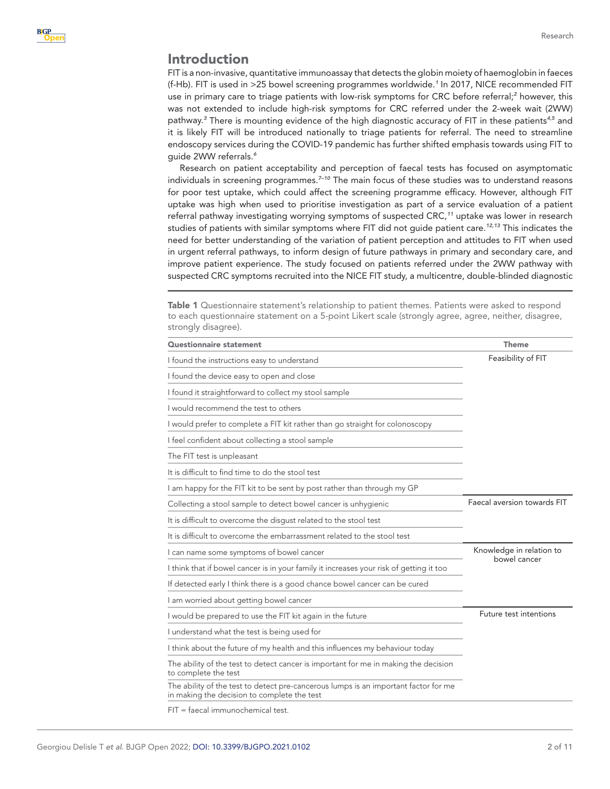## Introduction

FIT is a non-invasive, quantitative immunoassay that detects the globin moiety of haemoglobin in faeces (f-Hb). FIT is used in >25 bowel screening programmes worldwide.*[1](#page-10-0)* In 2017, NICE recommended FIT use in primary care to triage patients with low-risk symptoms for CRC before referral;<sup>[2](#page-10-1)</sup> however, this was not extended to include high-risk symptoms for CRC referred under the 2-week wait (2WW) pathway.*[3](#page-10-2)* There is mounting evidence of the high diagnostic accuracy of FIT in these patients*[4,5](#page-10-3)* and it is likely FIT will be introduced nationally to triage patients for referral. The need to streamline endoscopy services during the COVID-19 pandemic has further shifted emphasis towards using FIT to guide 2WW referrals.*[6](#page-10-4)*

Research on patient acceptability and perception of faecal tests has focused on asymptomatic individuals in screening programmes.*[7–10](#page-10-5)* The main focus of these studies was to understand reasons for poor test uptake, which could affect the screening programme efficacy. However, although FIT uptake was high when used to prioritise investigation as part of a service evaluation of a patient referral pathway investigating worrying symptoms of suspected CRC,*[11](#page-10-6)* uptake was lower in research studies of patients with similar symptoms where FIT did not guide patient care.*[12,13](#page-10-7)* This indicates the need for better understanding of the variation of patient perception and attitudes to FIT when used in urgent referral pathways, to inform design of future pathways in primary and secondary care, and improve patient experience. The study focused on patients referred under the 2WW pathway with suspected CRC symptoms recruited into the NICE FIT study, a multicentre, double-blinded diagnostic

<span id="page-1-0"></span>Table 1 Questionnaire statement's relationship to patient themes. Patients were asked to respond to each questionnaire statement on a 5-point Likert scale (strongly agree, agree, neither, disagree, strongly disagree).

| Questionnaire statement                                                                                                            | <b>Theme</b>                |  |  |
|------------------------------------------------------------------------------------------------------------------------------------|-----------------------------|--|--|
| I found the instructions easy to understand                                                                                        | Feasibility of FIT          |  |  |
| I found the device easy to open and close                                                                                          |                             |  |  |
| I found it straightforward to collect my stool sample                                                                              |                             |  |  |
| I would recommend the test to others                                                                                               |                             |  |  |
| I would prefer to complete a FIT kit rather than go straight for colonoscopy                                                       |                             |  |  |
| I feel confident about collecting a stool sample                                                                                   |                             |  |  |
| The FIT test is unpleasant                                                                                                         |                             |  |  |
| It is difficult to find time to do the stool test                                                                                  |                             |  |  |
| I am happy for the FIT kit to be sent by post rather than through my GP                                                            |                             |  |  |
| Collecting a stool sample to detect bowel cancer is unhygienic                                                                     | Faecal aversion towards FIT |  |  |
| It is difficult to overcome the disgust related to the stool test                                                                  |                             |  |  |
| It is difficult to overcome the embarrassment related to the stool test                                                            |                             |  |  |
| I can name some symptoms of bowel cancer                                                                                           | Knowledge in relation to    |  |  |
| I think that if bowel cancer is in your family it increases your risk of getting it too                                            | bowel cancer                |  |  |
| If detected early I think there is a good chance bowel cancer can be cured                                                         |                             |  |  |
| I am worried about getting bowel cancer                                                                                            |                             |  |  |
| I would be prepared to use the FIT kit again in the future                                                                         | Future test intentions      |  |  |
| I understand what the test is being used for                                                                                       |                             |  |  |
| I think about the future of my health and this influences my behaviour today                                                       |                             |  |  |
| The ability of the test to detect cancer is important for me in making the decision<br>to complete the test                        |                             |  |  |
| The ability of the test to detect pre-cancerous lumps is an important factor for me<br>in making the decision to complete the test |                             |  |  |
|                                                                                                                                    |                             |  |  |

FIT = faecal immunochemical test.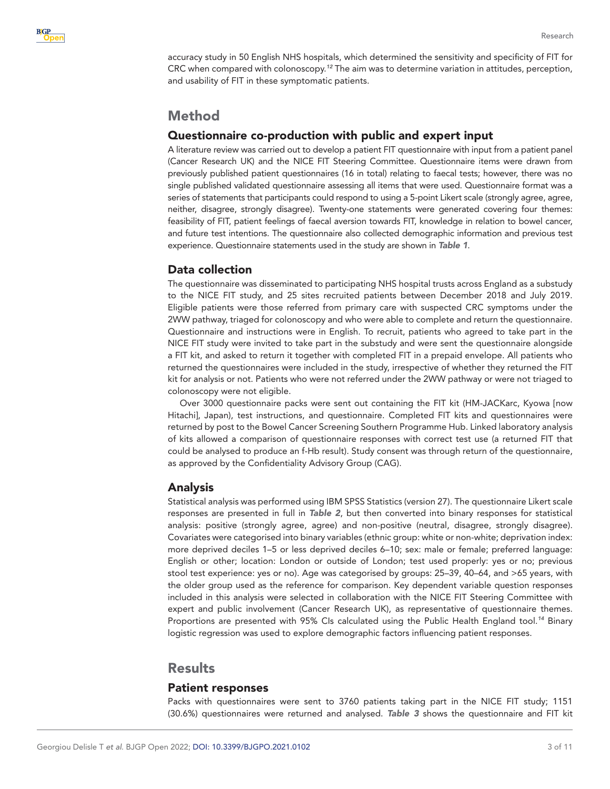

accuracy study in 50 English NHS hospitals, which determined the sensitivity and specificity of FIT for CRC when compared with colonoscopy.*[12](#page-10-7)* The aim was to determine variation in attitudes, perception, and usability of FIT in these symptomatic patients.

# Method

## Questionnaire co-production with public and expert input

A literature review was carried out to develop a patient FIT questionnaire with input from a patient panel (Cancer Research UK) and the NICE FIT Steering Committee. Questionnaire items were drawn from previously published patient questionnaires (16 in total) relating to faecal tests; however, there was no single published validated questionnaire assessing all items that were used. Questionnaire format was a series of statements that participants could respond to using a 5-point Likert scale (strongly agree, agree, neither, disagree, strongly disagree). Twenty-one statements were generated covering four themes: feasibility of FIT, patient feelings of faecal aversion towards FIT, knowledge in relation to bowel cancer, and future test intentions. The questionnaire also collected demographic information and previous test experience. Questionnaire statements used in the study are shown in *[Table 1](#page-1-0)*.

## Data collection

The questionnaire was disseminated to participating NHS hospital trusts across England as a substudy to the NICE FIT study, and 25 sites recruited patients between December 2018 and July 2019. Eligible patients were those referred from primary care with suspected CRC symptoms under the 2WW pathway, triaged for colonoscopy and who were able to complete and return the questionnaire. Questionnaire and instructions were in English. To recruit, patients who agreed to take part in the NICE FIT study were invited to take part in the substudy and were sent the questionnaire alongside a FIT kit, and asked to return it together with completed FIT in a prepaid envelope. All patients who returned the questionnaires were included in the study, irrespective of whether they returned the FIT kit for analysis or not. Patients who were not referred under the 2WW pathway or were not triaged to colonoscopy were not eligible.

Over 3000 questionnaire packs were sent out containing the FIT kit (HM-JACKarc, Kyowa [now Hitachi], Japan), test instructions, and questionnaire. Completed FIT kits and questionnaires were returned by post to the Bowel Cancer Screening Southern Programme Hub. Linked laboratory analysis of kits allowed a comparison of questionnaire responses with correct test use (a returned FIT that could be analysed to produce an f-Hb result). Study consent was through return of the questionnaire, as approved by the Confidentiality Advisory Group (CAG).

## Analysis

Statistical analysis was performed using IBM SPSS Statistics (version 27). The questionnaire Likert scale responses are presented in full in *[Table 2](#page-3-0)*, but then converted into binary responses for statistical analysis: positive (strongly agree, agree) and non-positive (neutral, disagree, strongly disagree). Covariates were categorised into binary variables (ethnic group: white or non-white; deprivation index: more deprived deciles 1–5 or less deprived deciles 6–10; sex: male or female; preferred language: English or other; location: London or outside of London; test used properly: yes or no; previous stool test experience: yes or no). Age was categorised by groups: 25–39, 40–64, and >65 years, with the older group used as the reference for comparison. Key dependent variable question responses included in this analysis were selected in collaboration with the NICE FIT Steering Committee with expert and public involvement (Cancer Research UK), as representative of questionnaire themes. Proportions are presented with 95% CIs calculated using the Public Health England tool.*[14](#page-10-8)* Binary logistic regression was used to explore demographic factors influencing patient responses.

## **Results**

### Patient responses

Packs with questionnaires were sent to 3760 patients taking part in the NICE FIT study; 1151 (30.6%) questionnaires were returned and analysed. *[Table 3](#page-5-0)* shows the questionnaire and FIT kit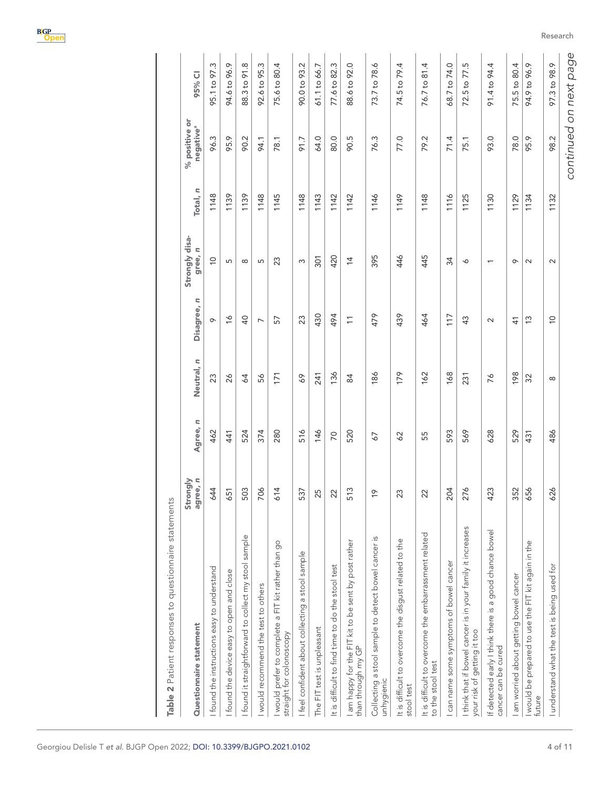| Table 2 Patient responses to questionnaire statements                                      | Strongly |          |                |                          | Strongly disa-           |          | % positive or         |                            |
|--------------------------------------------------------------------------------------------|----------|----------|----------------|--------------------------|--------------------------|----------|-----------------------|----------------------------|
| Questionnaire statement                                                                    | agree, n | Agree, n | Neutral, n     | ς<br>Disagree,           | $\simeq$<br>gree,        | Total, n | negative <sup>a</sup> | 95% CI                     |
| I found the instructions easy to understand                                                | 644      | 462      | 23             | $\sigma$                 | $\overline{0}$           | 1148     | 96.3                  | 95.1 to 97.3               |
| found the device easy to open and close                                                    | 651      | 441      | $\delta$       | $\frac{8}{10}$           | 5                        | 1139     | 95.9                  | 94.6 to 96.9               |
| I found it straightforward to collect my stool sample                                      | 503      | 524      | 64             | $\overline{Q}$           | $\infty$                 | 1139     | 90.2                  | 88.3 to 91.8               |
| I would recommend the test to others                                                       | 706      | 374      | 56             | $\overline{\phantom{0}}$ | 5                        | 1148     | 94.1                  | 92.6 to 95.3               |
| I would prefer to complete a FIT kit rather than go<br>straight for colonoscopy            | 614      | 280      | 171            | 57                       | 23                       | 1145     | 78.1                  | 75.6 to 80.4               |
| I feel confident about collecting a stool sample                                           | 537      | 516      | 69             | 23                       | S                        | 1148     | 91.7                  | 90.0 to 93.2               |
| The FIT test is unpleasant                                                                 | 5        | 146      | 241            | 430                      | 301                      | 1143     | 64.0                  | 61.1 to 66.7               |
| It is difficult to find time to do the stool test                                          | 22       | 20       | 136            | 494                      | 420                      | 1142     | 80.0                  | 77.6 to 82.3               |
| I am happy for the FIT kit to be sent by post rather<br>than through my GP                 | 513      | 520      | $\overline{8}$ |                          | $\overline{4}$           | 1142     | 90.5                  | 88.6 to 92.0               |
| Collecting a stool sample to detect bowel cancer is<br>unhygienic                          | Q        | 57       | 186            | 479                      | 395                      | 1146     | 76.3                  | 73.7 to 78.6               |
| It is difficult to overcome the disgust related to the<br>stool test                       | 23       | 29       | 179            | 439                      | 446                      | 1149     | 77.0                  | 74.5 to 79.4               |
| It is difficult to overcome the embarrassment related<br>to the stool test                 | 22       | 55       | 162            | 464                      | 445                      | 1148     | 79.2                  | 81.4<br>76.7 to            |
| I can name some symptoms of bowel cancer                                                   | 204      | 593      | 168            | 117                      | 34                       | 1116     | 71.4                  | 68.7 to 74.0               |
| I think that if bowel cancer is in your family it increases<br>your risk of getting it too | 276      | 569      | 231            | $\frac{3}{4}$            | ∘                        | 1125     | 75.1                  | 77.5<br>72.5 <sub>to</sub> |
| If detected early I think there is a good chance bowel<br>cancer can be cured              | 423      | 628      | 76             | $\sim$                   | $\overline{\phantom{0}}$ | 1130     | 93.0                  | 91.4 to 94.4               |
| I am worried about getting bowel cancer                                                    | 352      | 529      | 198            | $\frac{4}{3}$            | $\sigma$                 | 1129     | 78.0                  | 75.5 to 80.4               |
| I would be prepared to use the FIT kit again in the<br>future                              | 656      | 431      | 32             | 13                       | $\sim$                   | 1134     | 95.9                  | 94.9 to 96.9               |
| I understand what the test is being used for                                               | 626      | 486      | $\infty$       | $\overline{0}$           | $\sim$                   | 1132     | 98.2                  | 97.3 to 98.9               |
|                                                                                            |          |          |                |                          |                          |          |                       |                            |

<span id="page-3-0"></span>

Research

 $\overline{1}$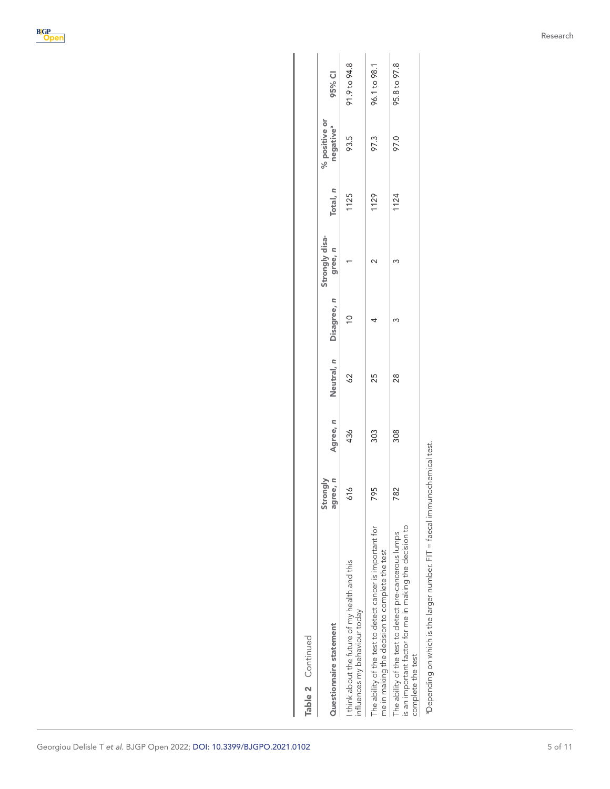| Table 2 Continued                                                                                                                                                                                                                                                                                                                                             |                      |          |            |             |                           |          |                                        |              |
|---------------------------------------------------------------------------------------------------------------------------------------------------------------------------------------------------------------------------------------------------------------------------------------------------------------------------------------------------------------|----------------------|----------|------------|-------------|---------------------------|----------|----------------------------------------|--------------|
| Questionnaire statement                                                                                                                                                                                                                                                                                                                                       | Strongly<br>agree, n | Agree, n | Neutral, n | Disagree, n | Strongly disa-<br>gree, n | Total, n | % positive or<br>negative <sup>a</sup> | 95% CI       |
| I think about the future of my health and this<br>influences my behaviour today                                                                                                                                                                                                                                                                               | 616                  | 436      | $\delta$ 2 | $\approx$   |                           | 1125     | 93.5                                   | 91.9 to 94.8 |
| The ability of the test to detect cancer is important for<br>me in making the decision to complete the test                                                                                                                                                                                                                                                   | 95                   | 303      | 25         |             |                           | 1129     | 97.3                                   | 96.1 to 98.1 |
| is an important factor for me in making the decision to<br>The ability of the test to detect pre-cancerous lumps<br>complete the test                                                                                                                                                                                                                         | 82                   | 308      | 88         |             |                           | 1124     | 97.0                                   | 95.8 to 97.8 |
| $\Gamma$ - $\Gamma$ - $\Gamma$ - $\Gamma$ - $\Gamma$ - $\Gamma$ - $\Gamma$ - $\Gamma$ - $\Gamma$ - $\Gamma$ - $\Gamma$ - $\Gamma$ - $\Gamma$ - $\Gamma$ - $\Gamma$ - $\Gamma$ - $\Gamma$ - $\Gamma$ - $\Gamma$ - $\Gamma$ - $\Gamma$ - $\Gamma$ - $\Gamma$ - $\Gamma$ - $\Gamma$ - $\Gamma$ - $\Gamma$ - $\Gamma$ - $\Gamma$ - $\Gamma$ - $\Gamma$ - $\Gamma$ |                      |          |            |             |                           |          |                                        |              |

aDepending on which is the larger number. FIT = faecal immunochemical test.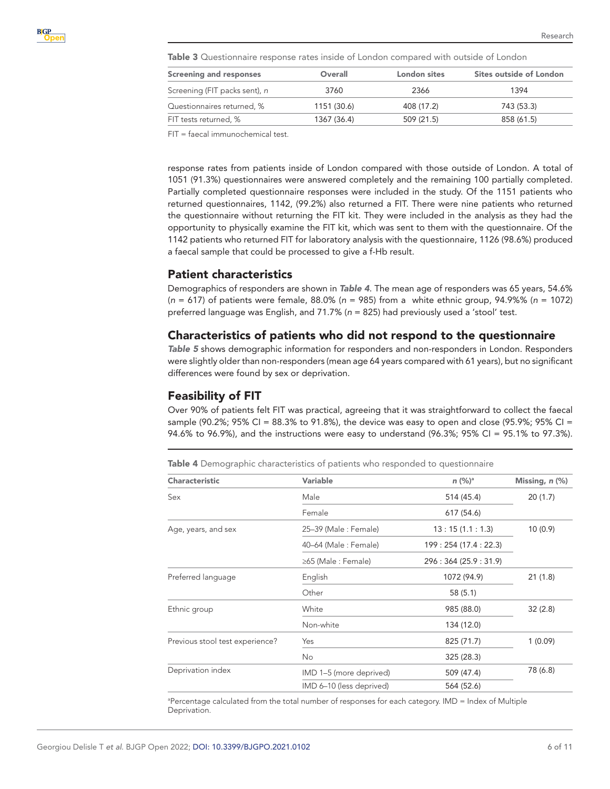<span id="page-5-0"></span>Table 3 Questionnaire response rates inside of London compared with outside of London

| <b>Screening and responses</b> | Overall     | London sites | Sites outside of London |
|--------------------------------|-------------|--------------|-------------------------|
| Screening (FIT packs sent), n  | 3760        | 2366         | 1394                    |
| Questionnaires returned, %     | 1151 (30.6) | 408 (17.2)   | 743 (53.3)              |
| FIT tests returned, %          | 1367 (36.4) | 509 (21.5)   | 858 (61.5)              |

FIT = faecal immunochemical test.

response rates from patients inside of London compared with those outside of London. A total of 1051 (91.3%) questionnaires were answered completely and the remaining 100 partially completed. Partially completed questionnaire responses were included in the study. Of the 1151 patients who returned questionnaires, 1142, (99.2%) also returned a FIT. There were nine patients who returned the questionnaire without returning the FIT kit. They were included in the analysis as they had the opportunity to physically examine the FIT kit, which was sent to them with the questionnaire. Of the 1142 patients who returned FIT for laboratory analysis with the questionnaire, 1126 (98.6%) produced a faecal sample that could be processed to give a f-Hb result.

### Patient characteristics

Demographics of responders are shown in *[Table 4](#page-5-1)*. The mean age of responders was 65 years, 54.6% (*n* = 617) of patients were female, 88.0% (*n* = 985) from a white ethnic group, 94.9%% (*n* = 1072) preferred language was English, and 71.7% (*n* = 825) had previously used a 'stool' test.

### Characteristics of patients who did not respond to the questionnaire

*[Table 5](#page-6-0)* shows demographic information for responders and non-responders in London. Responders were slightly older than non-responders (mean age 64 years compared with 61 years), but no significant differences were found by sex or deprivation.

#### Feasibility of FIT

Over 90% of patients felt FIT was practical, agreeing that it was straightforward to collect the faecal sample (90.2%; 95% CI = 88.3% to 91.8%), the device was easy to open and close (95.9%; 95% CI = 94.6% to 96.9%), and the instructions were easy to understand (96.3%; 95% CI = 95.1% to 97.3%).

<span id="page-5-1"></span>Table 4 Demographic characteristics of patients who responded to questionnaire

| Characteristic                  | <b>Variable</b>          | $n (%)^a$              | Missing, n (%) |
|---------------------------------|--------------------------|------------------------|----------------|
| Sex                             | Male                     | 514 (45.4)             | 20(1.7)        |
|                                 | Female                   | 617 (54.6)             |                |
| Age, years, and sex             | 25-39 (Male: Female)     | 13:15(1.1:1.3)         | 10(0.9)        |
|                                 | 40-64 (Male: Female)     | 199: 254 (17.4 : 22.3) |                |
|                                 | ≥65 (Male : Female)      | 296: 364 (25.9: 31.9)  |                |
| Preferred language              | English                  | 1072 (94.9)            | 21(1.8)        |
|                                 | Other                    | 58(5.1)                |                |
| Ethnic group                    | White                    | 985 (88.0)             | 32(2.8)        |
|                                 | Non-white                | 134 (12.0)             |                |
| Previous stool test experience? | Yes                      | 825 (71.7)             | 1(0.09)        |
|                                 | No                       | 325 (28.3)             |                |
| Deprivation index               | IMD 1-5 (more deprived)  | 509 (47.4)             | 78 (6.8)       |
|                                 | IMD 6-10 (less deprived) | 564 (52.6)             |                |

a Percentage calculated from the total number of responses for each category. IMD = Index of Multiple Deprivation.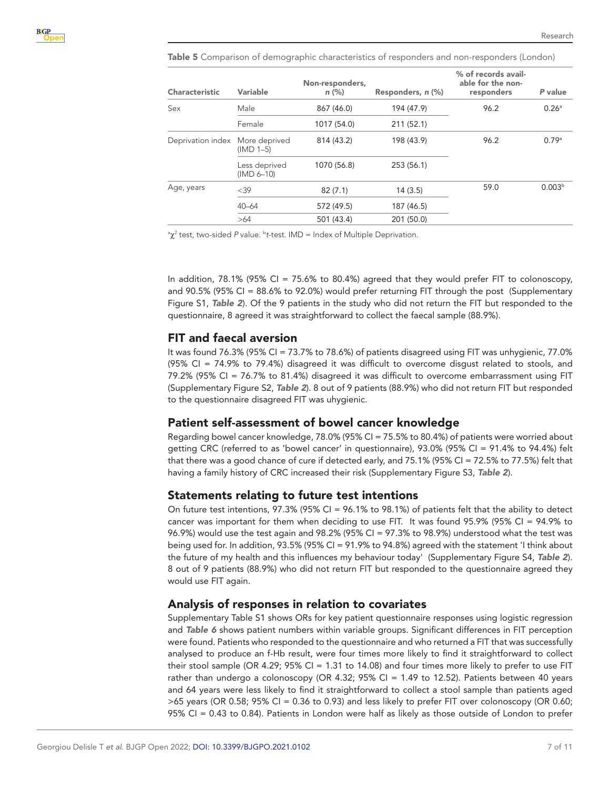| <b>Characteristic</b> | Variable                      | Non-responders,<br>$n$ (%) | Responders, n (%) | % of records avail-<br>able for the non-<br>responders | P value            |
|-----------------------|-------------------------------|----------------------------|-------------------|--------------------------------------------------------|--------------------|
| Sex                   | Male                          | 867 (46.0)                 | 194 (47.9)        | 96.2                                                   | $0.26^{\circ}$     |
|                       | Female                        | 1017 (54.0)                | 211 (52.1)        |                                                        |                    |
| Deprivation index     | More deprived<br>$(IMD 1-5)$  | 814 (43.2)                 | 198 (43.9)        | 96.2                                                   | 0.79a              |
|                       | Less deprived<br>$(IMD 6-10)$ | 1070 (56.8)                | 253 (56.1)        |                                                        |                    |
| Age, years            | $<$ 39                        | 82(7.1)                    | 14(3.5)           | 59.0                                                   | 0.003 <sup>b</sup> |
|                       | $40 - 64$                     | 572 (49.5)                 | 187 (46.5)        |                                                        |                    |
|                       | >64                           | 501 (43.4)                 | 201 (50.0)        |                                                        |                    |

<span id="page-6-0"></span>Table 5 Comparison of demographic characteristics of responders and non-responders (London)

<sup>a</sup>χ<sup>2</sup> test, two-sided P value. <sup>b</sup>t-test. IMD = Index of Multiple Deprivation.

In addition, 78.1% (95% CI = 75.6% to 80.4%) agreed that they would prefer FIT to colonoscopy, and 90.5% (95% CI = 88.6% to 92.0%) would prefer returning FIT through the post (Supplementary Figure S1, *[Table 2](#page-3-0)*). Of the 9 patients in the study who did not return the FIT but responded to the questionnaire, 8 agreed it was straightforward to collect the faecal sample (88.9%).

#### FIT and faecal aversion

It was found 76.3% (95% CI = 73.7% to 78.6%) of patients disagreed using FIT was unhygienic, 77.0% (95% CI = 74.9% to 79.4%) disagreed it was difficult to overcome disgust related to stools, and 79.2% (95% CI = 76.7% to 81.4%) disagreed it was difficult to overcome embarrassment using FIT (Supplementary Figure S2, *[Table 2](#page-3-0)*). 8 out of 9 patients (88.9%) who did not return FIT but responded to the questionnaire disagreed FIT was uhygienic.

### Patient self-assessment of bowel cancer knowledge

Regarding bowel cancer knowledge, 78.0% (95% CI = 75.5% to 80.4%) of patients were worried about getting CRC (referred to as 'bowel cancer' in questionnaire), 93.0% (95% CI = 91.4% to 94.4%) felt that there was a good chance of cure if detected early, and 75.1% (95% CI = 72.5% to 77.5%) felt that having a family history of CRC increased their risk (Supplementary Figure S3, *[Table 2](#page-3-0)*).

### Statements relating to future test intentions

On future test intentions, 97.3% (95% CI =  $96.1\%$  to 98.1%) of patients felt that the ability to detect cancer was important for them when deciding to use FIT. It was found 95.9% (95% CI = 94.9% to 96.9%) would use the test again and 98.2% (95% CI = 97.3% to 98.9%) understood what the test was being used for. In addition, 93.5% (95% CI = 91.9% to 94.8%) agreed with the statement 'I think about the future of my health and this influences my behaviour today' (Supplementary Figure S4, *[Table 2](#page-3-0)*). 8 out of 9 patients (88.9%) who did not return FIT but responded to the questionnaire agreed they would use FIT again.

### Analysis of responses in relation to covariates

Supplementary Table S1 shows ORs for key patient questionnaire responses using logistic regression and *[Table 6](#page-7-0)* shows patient numbers within variable groups. Significant differences in FIT perception were found. Patients who responded to the questionnaire and who returned a FIT that was successfully analysed to produce an f-Hb result, were four times more likely to find it straightforward to collect their stool sample (OR 4.29; 95% CI = 1.31 to 14.08) and four times more likely to prefer to use FIT rather than undergo a colonoscopy (OR 4.32; 95% CI = 1.49 to 12.52). Patients between 40 years and 64 years were less likely to find it straightforward to collect a stool sample than patients aged >65 years (OR 0.58; 95% CI = 0.36 to 0.93) and less likely to prefer FIT over colonoscopy (OR 0.60; 95% CI = 0.43 to 0.84). Patients in London were half as likely as those outside of London to prefer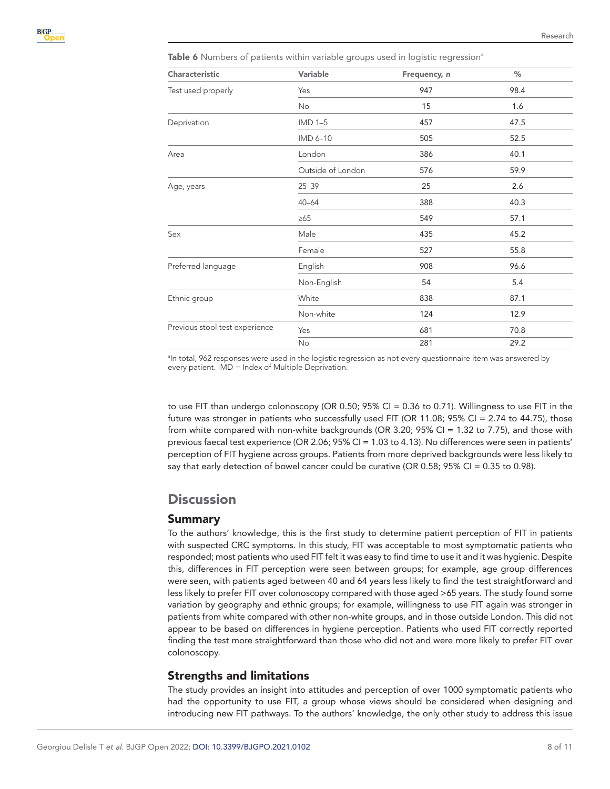<span id="page-7-0"></span>Table 6 Numbers of patients within variable groups used in logistic regression<sup>a</sup>

| Characteristic                 | Variable          | Frequency, n | %    |
|--------------------------------|-------------------|--------------|------|
| Test used properly             | Yes               | 947          | 98.4 |
|                                | No                | 15           | 1.6  |
| Deprivation                    | $IMD1-5$          | 457          | 47.5 |
|                                | IMD 6-10          | 505          | 52.5 |
| Area                           | London            | 386          | 40.1 |
|                                | Outside of London | 576          | 59.9 |
| Age, years                     | $25 - 39$         | 25           | 2.6  |
|                                | $40 - 64$         | 388          | 40.3 |
|                                | $\geq 65$         | 549          | 57.1 |
| Sex                            | Male              | 435          | 45.2 |
|                                | Female            | 527          | 55.8 |
| Preferred language             | English           | 908          | 96.6 |
|                                | Non-English       | 54           | 5.4  |
| Ethnic group                   | White             | 838          | 87.1 |
|                                | Non-white         | 124          | 12.9 |
| Previous stool test experience | Yes               | 681          | 70.8 |
|                                | No                | 281          | 29.2 |

a In total, 962 responses were used in the logistic regression as not every questionnaire item was answered by every patient. IMD = Index of Multiple Deprivation.

to use FIT than undergo colonoscopy (OR 0.50; 95% CI = 0.36 to 0.71). Willingness to use FIT in the future was stronger in patients who successfully used FIT (OR 11.08; 95% CI = 2.74 to 44.75), those from white compared with non-white backgrounds (OR 3.20; 95% CI = 1.32 to 7.75), and those with previous faecal test experience (OR 2.06; 95% CI = 1.03 to 4.13). No differences were seen in patients' perception of FIT hygiene across groups. Patients from more deprived backgrounds were less likely to say that early detection of bowel cancer could be curative (OR 0.58; 95% CI = 0.35 to 0.98).

## **Discussion**

#### Summary

To the authors' knowledge, this is the first study to determine patient perception of FIT in patients with suspected CRC symptoms. In this study, FIT was acceptable to most symptomatic patients who responded; most patients who used FIT felt it was easy to find time to use it and it was hygienic. Despite this, differences in FIT perception were seen between groups; for example, age group differences were seen, with patients aged between 40 and 64 years less likely to find the test straightforward and less likely to prefer FIT over colonoscopy compared with those aged >65 years. The study found some variation by geography and ethnic groups; for example, willingness to use FIT again was stronger in patients from white compared with other non-white groups, and in those outside London. This did not appear to be based on differences in hygiene perception. Patients who used FIT correctly reported finding the test more straightforward than those who did not and were more likely to prefer FIT over colonoscopy.

### Strengths and limitations

The study provides an insight into attitudes and perception of over 1000 symptomatic patients who had the opportunity to use FIT, a group whose views should be considered when designing and introducing new FIT pathways. To the authors' knowledge, the only other study to address this issue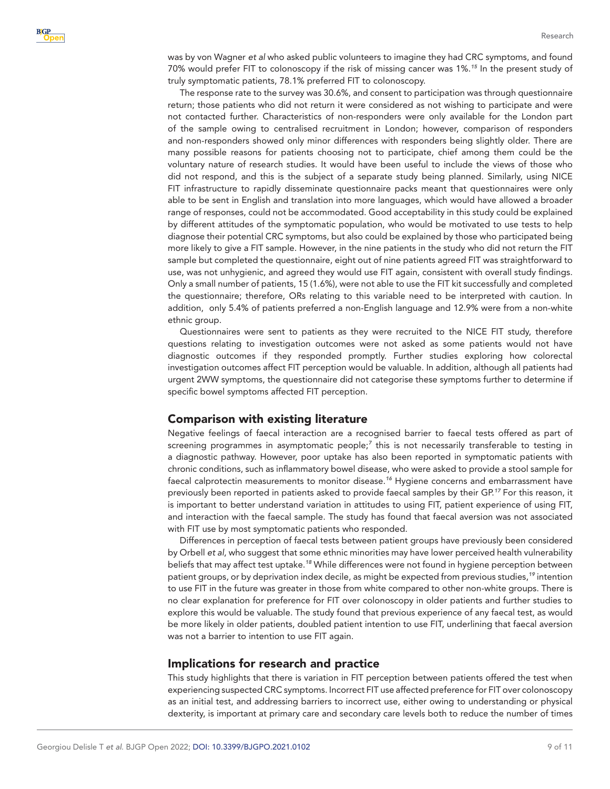was by von Wagner *et al* who asked public volunteers to imagine they had CRC symptoms, and found 70% would prefer FIT to colonoscopy if the risk of missing cancer was 1%.*[15](#page-10-9)* In the present study of truly symptomatic patients, 78.1% preferred FIT to colonoscopy.

The response rate to the survey was 30.6%, and consent to participation was through questionnaire return; those patients who did not return it were considered as not wishing to participate and were not contacted further. Characteristics of non-responders were only available for the London part of the sample owing to centralised recruitment in London; however, comparison of responders and non-responders showed only minor differences with responders being slightly older. There are many possible reasons for patients choosing not to participate, chief among them could be the voluntary nature of research studies. It would have been useful to include the views of those who did not respond, and this is the subject of a separate study being planned. Similarly, using NICE FIT infrastructure to rapidly disseminate questionnaire packs meant that questionnaires were only able to be sent in English and translation into more languages, which would have allowed a broader range of responses, could not be accommodated. Good acceptability in this study could be explained by different attitudes of the symptomatic population, who would be motivated to use tests to help diagnose their potential CRC symptoms, but also could be explained by those who participated being more likely to give a FIT sample. However, in the nine patients in the study who did not return the FIT sample but completed the questionnaire, eight out of nine patients agreed FIT was straightforward to use, was not unhygienic, and agreed they would use FIT again, consistent with overall study findings. Only a small number of patients, 15 (1.6%), were not able to use the FIT kit successfully and completed the questionnaire; therefore, ORs relating to this variable need to be interpreted with caution. In addition, only 5.4% of patients preferred a non-English language and 12.9% were from a non-white ethnic group.

Questionnaires were sent to patients as they were recruited to the NICE FIT study, therefore questions relating to investigation outcomes were not asked as some patients would not have diagnostic outcomes if they responded promptly. Further studies exploring how colorectal investigation outcomes affect FIT perception would be valuable. In addition, although all patients had urgent 2WW symptoms, the questionnaire did not categorise these symptoms further to determine if specific bowel symptoms affected FIT perception.

#### Comparison with existing literature

Negative feelings of faecal interaction are a recognised barrier to faecal tests offered as part of screening programmes in asymptomatic people;*[7](#page-10-5)* this is not necessarily transferable to testing in a diagnostic pathway. However, poor uptake has also been reported in symptomatic patients with chronic conditions, such as inflammatory bowel disease, who were asked to provide a stool sample for faecal calprotectin measurements to monitor disease.*[16](#page-10-10)* Hygiene concerns and embarrassment have previously been reported in patients asked to provide faecal samples by their GP.*[17](#page-10-11)* For this reason, it is important to better understand variation in attitudes to using FIT, patient experience of using FIT, and interaction with the faecal sample. The study has found that faecal aversion was not associated with FIT use by most symptomatic patients who responded.

Differences in perception of faecal tests between patient groups have previously been considered by Orbell *et al*, who suggest that some ethnic minorities may have lower perceived health vulnerability beliefs that may affect test uptake.*[18](#page-10-12)* While differences were not found in hygiene perception between patient groups, or by deprivation index decile, as might be expected from previous studies,*[19](#page-10-13)* intention to use FIT in the future was greater in those from white compared to other non-white groups. There is no clear explanation for preference for FIT over colonoscopy in older patients and further studies to explore this would be valuable. The study found that previous experience of any faecal test, as would be more likely in older patients, doubled patient intention to use FIT, underlining that faecal aversion was not a barrier to intention to use FIT again.

#### Implications for research and practice

This study highlights that there is variation in FIT perception between patients offered the test when experiencing suspected CRC symptoms. Incorrect FIT use affected preference for FIT over colonoscopy as an initial test, and addressing barriers to incorrect use, either owing to understanding or physical dexterity, is important at primary care and secondary care levels both to reduce the number of times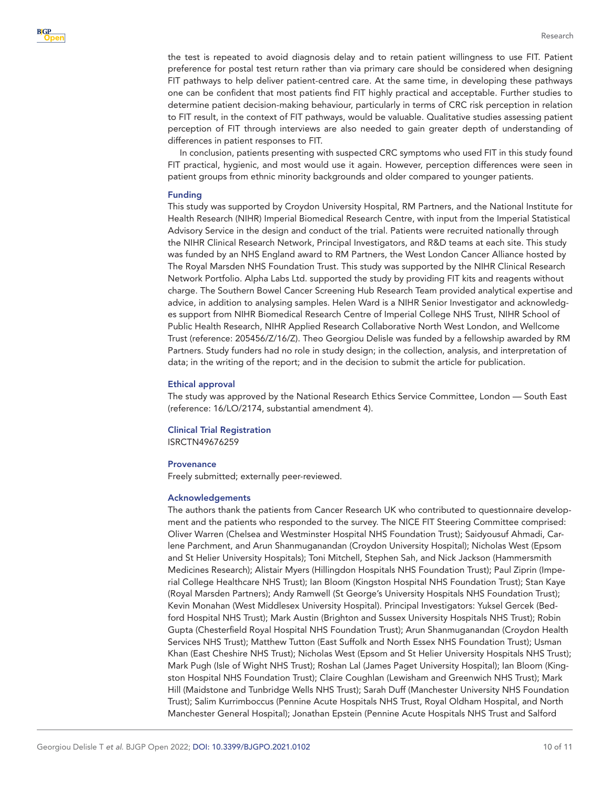the test is repeated to avoid diagnosis delay and to retain patient willingness to use FIT. Patient preference for postal test return rather than via primary care should be considered when designing FIT pathways to help deliver patient-centred care. At the same time, in developing these pathways one can be confident that most patients find FIT highly practical and acceptable. Further studies to determine patient decision-making behaviour, particularly in terms of CRC risk perception in relation to FIT result, in the context of FIT pathways, would be valuable. Qualitative studies assessing patient perception of FIT through interviews are also needed to gain greater depth of understanding of differences in patient responses to FIT.

In conclusion, patients presenting with suspected CRC symptoms who used FIT in this study found FIT practical, hygienic, and most would use it again. However, perception differences were seen in patient groups from ethnic minority backgrounds and older compared to younger patients.

#### Funding

This study was supported by Croydon University Hospital, RM Partners, and the National Institute for Health Research (NIHR) Imperial Biomedical Research Centre, with input from the Imperial Statistical Advisory Service in the design and conduct of the trial. Patients were recruited nationally through the NIHR Clinical Research Network, Principal Investigators, and R&D teams at each site. This study was funded by an NHS England award to RM Partners, the West London Cancer Alliance hosted by The Royal Marsden NHS Foundation Trust. This study was supported by the NIHR Clinical Research Network Portfolio. Alpha Labs Ltd. supported the study by providing FIT kits and reagents without charge. The Southern Bowel Cancer Screening Hub Research Team provided analytical expertise and advice, in addition to analysing samples. Helen Ward is a NIHR Senior Investigator and acknowledges support from NIHR Biomedical Research Centre of Imperial College NHS Trust, NIHR School of Public Health Research, NIHR Applied Research Collaborative North West London, and Wellcome Trust (reference: 205456/Z/16/Z). Theo Georgiou Delisle was funded by a fellowship awarded by RM Partners. Study funders had no role in study design; in the collection, analysis, and interpretation of data; in the writing of the report; and in the decision to submit the article for publication.

#### Ethical approval

The study was approved by the National Research Ethics Service Committee, London — South East (reference: 16/LO/2174, substantial amendment 4).

# Clinical Trial Registration

ISRCTN49676259

#### **Provenance**

Freely submitted; externally peer-reviewed.

#### Acknowledgements

The authors thank the patients from Cancer Research UK who contributed to questionnaire development and the patients who responded to the survey. The NICE FIT Steering Committee comprised: Oliver Warren (Chelsea and Westminster Hospital NHS Foundation Trust); Saidyousuf Ahmadi, Carlene Parchment, and Arun Shanmuganandan (Croydon University Hospital); Nicholas West (Epsom and St Helier University Hospitals); Toni Mitchell, Stephen Sah, and Nick Jackson (Hammersmith Medicines Research); Alistair Myers (Hillingdon Hospitals NHS Foundation Trust); Paul Ziprin (Imperial College Healthcare NHS Trust); Ian Bloom (Kingston Hospital NHS Foundation Trust); Stan Kaye (Royal Marsden Partners); Andy Ramwell (St George's University Hospitals NHS Foundation Trust); Kevin Monahan (West Middlesex University Hospital). Principal Investigators: Yuksel Gercek (Bedford Hospital NHS Trust); Mark Austin (Brighton and Sussex University Hospitals NHS Trust); Robin Gupta (Chesterfield Royal Hospital NHS Foundation Trust); Arun Shanmuganandan (Croydon Health Services NHS Trust); Matthew Tutton (East Suffolk and North Essex NHS Foundation Trust); Usman Khan (East Cheshire NHS Trust); Nicholas West (Epsom and St Helier University Hospitals NHS Trust); Mark Pugh (Isle of Wight NHS Trust); Roshan Lal (James Paget University Hospital); Ian Bloom (Kingston Hospital NHS Foundation Trust); Claire Coughlan (Lewisham and Greenwich NHS Trust); Mark Hill (Maidstone and Tunbridge Wells NHS Trust); Sarah Duff (Manchester University NHS Foundation Trust); Salim Kurrimboccus (Pennine Acute Hospitals NHS Trust, Royal Oldham Hospital, and North Manchester General Hospital); Jonathan Epstein (Pennine Acute Hospitals NHS Trust and Salford